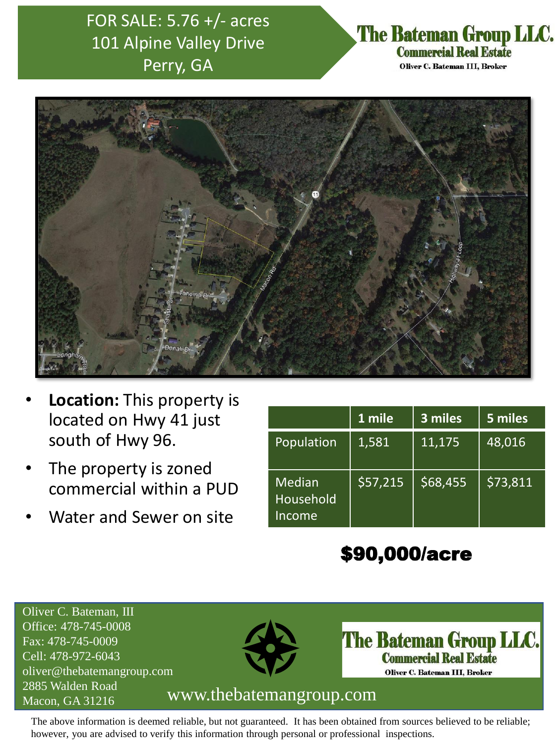## FOR SALE: 5.76 +/- acres 101 Alpine Valley Drive Perry, GA

### The Bateman Group LLC. **Commercial Real Estate**

Oliver C. Bateman III, Broker



- **Location:** This property is located on Hwy 41 just south of Hwy 96.
- The property is zoned commercial within a PUD
- Water and Sewer on site

|                                      | 1 mile   | 3 miles | 5 miles  |
|--------------------------------------|----------|---------|----------|
| Population                           | 1,581    | 11,175  | 48,016   |
| <b>Median</b><br>Household<br>Income | \$57,215 | 568,455 | \$73,811 |

# \$90,000/acre

Oliver C. Bateman, III Office: 478-745-0008 Fax: 478-745-0009 Cell: 478-972-6043 oliver@thebatemangroup.com 2885 Walden Road



The Bateman Group LLC. **Commercial Real Estate** Oliver C. Bateman III, Broker

#### Macon, GA 31216 www.thebatemangroup.com

The above information is deemed reliable, but not guaranteed. It has been obtained from sources believed to be reliable; however, you are advised to verify this information through personal or professional inspections.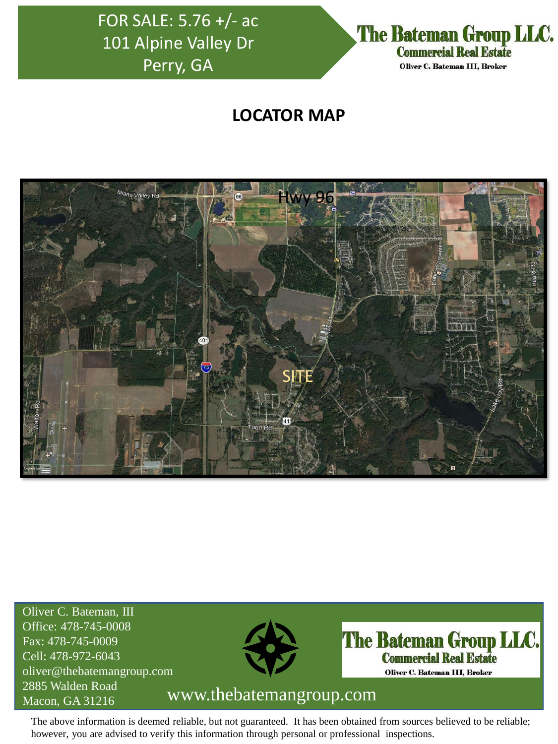## FOR SALE: 5.76 +/- ac 101 Alpine Valley Dr Perry, GA



#### **LOCATOR MAP**



Oliver C. Bateman, III Office: 478-745-0008 Fax: 478-745-0009 Cell: 478-972-6043 oliver@thebatemangroup.com 2885 Walden Road



The Bateman Group LLC. **Commercial Real Estate** Oliver C. Bateman III, Broker

### Macon, GA 31216 www.thebatemangroup.com

The above information is deemed reliable, but not guaranteed. It has been obtained from sources believed to be reliable; however, you are advised to verify this information through personal or professional inspections.